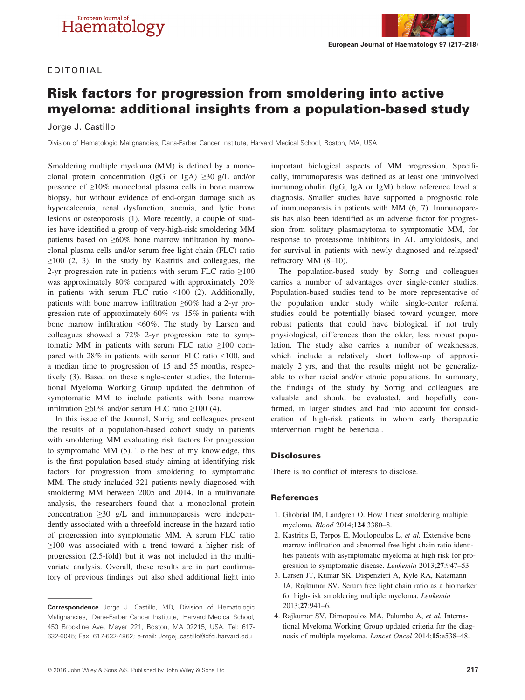# EDITORIAL



# Risk factors for progression from smoldering into active myeloma: additional insights from a population-based study

## Jorge J. Castillo

Division of Hematologic Malignancies, Dana-Farber Cancer Institute, Harvard Medical School, Boston, MA, USA

Smoldering multiple myeloma (MM) is defined by a monoclonal protein concentration (IgG or IgA)  $\geq 30$  g/L and/or presence of ≥10% monoclonal plasma cells in bone marrow biopsy, but without evidence of end-organ damage such as hypercalcemia, renal dysfunction, anemia, and lytic bone lesions or osteoporosis (1). More recently, a couple of studies have identified a group of very-high-risk smoldering MM patients based on  $\geq 60\%$  bone marrow infiltration by monoclonal plasma cells and/or serum free light chain (FLC) ratio  $\geq$ 100 (2, 3). In the study by Kastritis and colleagues, the 2-yr progression rate in patients with serum FLC ratio  $\geq 100$ was approximately 80% compared with approximately 20% in patients with serum FLC ratio <100 (2). Additionally, patients with bone marrow infiltration ≥60% had a 2-yr progression rate of approximately 60% vs. 15% in patients with bone marrow infiltration <60%. The study by Larsen and colleagues showed a 72% 2-yr progression rate to symptomatic MM in patients with serum FLC ratio ≥100 compared with 28% in patients with serum FLC ratio <100, and a median time to progression of 15 and 55 months, respectively (3). Based on these single-center studies, the International Myeloma Working Group updated the definition of symptomatic MM to include patients with bone marrow infiltration  $\geq 60\%$  and/or serum FLC ratio  $\geq 100$  (4).

In this issue of the Journal, Sorrig and colleagues present the results of a population-based cohort study in patients with smoldering MM evaluating risk factors for progression to symptomatic MM (5). To the best of my knowledge, this is the first population-based study aiming at identifying risk factors for progression from smoldering to symptomatic MM. The study included 321 patients newly diagnosed with smoldering MM between 2005 and 2014. In a multivariate analysis, the researchers found that a monoclonal protein concentration ≥30 g/L and immunoparesis were independently associated with a threefold increase in the hazard ratio of progression into symptomatic MM. A serum FLC ratio ≥100 was associated with a trend toward a higher risk of progression (2.5-fold) but it was not included in the multivariate analysis. Overall, these results are in part confirmatory of previous findings but also shed additional light into

© 2016 John Wiley & Sons A/S. Published by John Wiley & Sons Ltd 217

important biological aspects of MM progression. Specifically, immunoparesis was defined as at least one uninvolved immunoglobulin (IgG, IgA or IgM) below reference level at diagnosis. Smaller studies have supported a prognostic role of immunoparesis in patients with MM (6, 7). Immunoparesis has also been identified as an adverse factor for progression from solitary plasmacytoma to symptomatic MM, for response to proteasome inhibitors in AL amyloidosis, and for survival in patients with newly diagnosed and relapsed/ refractory MM (8–10).

The population-based study by Sorrig and colleagues carries a number of advantages over single-center studies. Population-based studies tend to be more representative of the population under study while single-center referral studies could be potentially biased toward younger, more robust patients that could have biological, if not truly physiological, differences than the older, less robust population. The study also carries a number of weaknesses, which include a relatively short follow-up of approximately 2 yrs, and that the results might not be generalizable to other racial and/or ethnic populations. In summary, the findings of the study by Sorrig and colleagues are valuable and should be evaluated, and hopefully confirmed, in larger studies and had into account for consideration of high-risk patients in whom early therapeutic intervention might be beneficial.

## **Disclosures**

There is no conflict of interests to disclose.

#### **References**

- 1. Ghobrial IM, Landgren O. How I treat smoldering multiple myeloma. Blood 2014;124:3380–8.
- 2. Kastritis E, Terpos E, Moulopoulos L, et al. Extensive bone marrow infiltration and abnormal free light chain ratio identifies patients with asymptomatic myeloma at high risk for progression to symptomatic disease. Leukemia 2013;27:947–53.
- 3. Larsen JT, Kumar SK, Dispenzieri A, Kyle RA, Katzmann JA, Rajkumar SV. Serum free light chain ratio as a biomarker for high-risk smoldering multiple myeloma. Leukemia 2013;27:941–6.
- 4. Rajkumar SV, Dimopoulos MA, Palumbo A, et al. International Myeloma Working Group updated criteria for the diagnosis of multiple myeloma. Lancet Oncol 2014;15:e538–48.

Correspondence Jorge J. Castillo, MD, Division of Hematologic Malignancies, Dana-Farber Cancer Institute, Harvard Medical School, 450 Brookline Ave, Mayer 221, Boston, MA 02215, USA. Tel: 617- 632-6045; Fax: 617-632-4862; e-mail: Jorgej\_castillo@dfci.harvard.edu